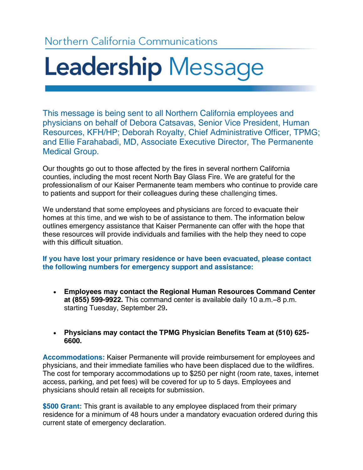## Northern California Communications

# Leadership Message

This message is being sent to all Northern California employees and physicians on behalf of Debora Catsavas, Senior Vice President, Human Resources, KFH/HP; Deborah Royalty, Chief Administrative Officer, TPMG; and Ellie Farahabadi, MD, Associate Executive Director, The Permanente Medical Group.

Our thoughts go out to those affected by the fires in several northern California counties, including the most recent North Bay Glass Fire. We are grateful for the professionalism of our Kaiser Permanente team members who continue to provide care to patients and support for their colleagues during these challenging times.

We understand that some employees and physicians are forced to evacuate their homes at this time, and we wish to be of assistance to them. The information below outlines emergency assistance that Kaiser Permanente can offer with the hope that these resources will provide individuals and families with the help they need to cope with this difficult situation.

**If you have lost your primary residence or have been evacuated, please contact the following numbers for emergency support and assistance:**

- **Employees may contact the Regional Human Resources Command Center at (855) 599-9922.** This command center is available daily 10 a.m.–8 p.m. starting Tuesday, September 29**.**
- **Physicians may contact the TPMG Physician Benefits Team at (510) 625- 6600.**

**Accommodations:** Kaiser Permanente will provide reimbursement for employees and physicians, and their immediate families who have been displaced due to the wildfires. The cost for temporary accommodations up to \$250 per night (room rate, taxes, internet access, parking, and pet fees) will be covered for up to 5 days. Employees and physicians should retain all receipts for submission.

**\$500 Grant:** This grant is available to any employee displaced from their primary residence for a minimum of 48 hours under a mandatory evacuation ordered during this current state of emergency declaration.